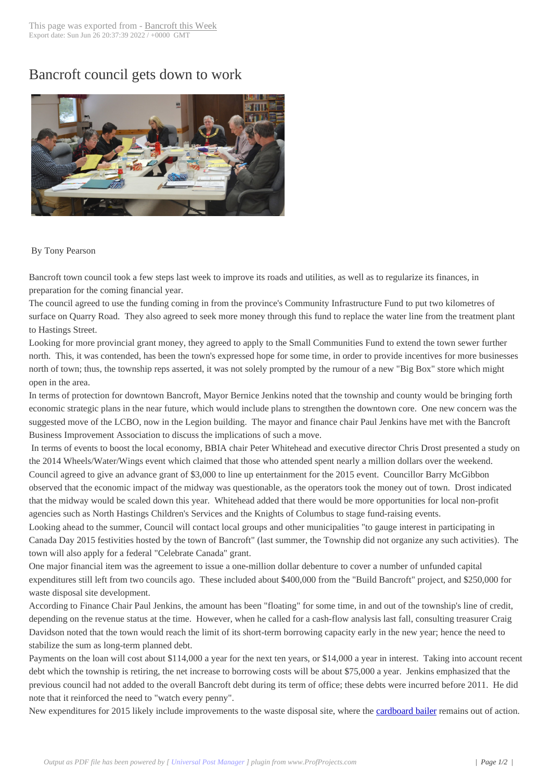## Bancroft council g[ets down to w](http://www.bancroftthisweek.com/?p=4094)ork



## By Tony Pearson

Bancroft town council took a few steps last week to improve its roads and utilities, as well as to regularize its finances, in preparation for the coming financial year.

The council agreed to use the funding coming in from the province's Community Infrastructure Fund to put two kilometres of surface on Quarry Road. They also agreed to seek more money through this fund to replace the water line from the treatment plant to Hastings Street.

Looking for more provincial grant money, they agreed to apply to the Small Communities Fund to extend the town sewer further north. This, it was contended, has been the town's expressed hope for some time, in order to provide incentives for more businesses north of town; thus, the township reps asserted, it was not solely prompted by the rumour of a new "Big Box" store which might open in the area.

In terms of protection for downtown Bancroft, Mayor Bernice Jenkins noted that the township and county would be bringing forth economic strategic plans in the near future, which would include plans to strengthen the downtown core. One new concern was the suggested move of the LCBO, now in the Legion building. The mayor and finance chair Paul Jenkins have met with the Bancroft Business Improvement Association to discuss the implications of such a move.

 In terms of events to boost the local economy, BBIA chair Peter Whitehead and executive director Chris Drost presented a study on the 2014 Wheels/Water/Wings event which claimed that those who attended spent nearly a million dollars over the weekend. Council agreed to give an advance grant of \$3,000 to line up entertainment for the 2015 event. Councillor Barry McGibbon observed that the economic impact of the midway was questionable, as the operators took the money out of town. Drost indicated that the midway would be scaled down this year. Whitehead added that there would be more opportunities for local non-profit agencies such as North Hastings Children's Services and the Knights of Columbus to stage fund-raising events.

Looking ahead to the summer, Council will contact local groups and other municipalities "to gauge interest in participating in Canada Day 2015 festivities hosted by the town of Bancroft" (last summer, the Township did not organize any such activities). The town will also apply for a federal "Celebrate Canada" grant.

One major financial item was the agreement to issue a one-million dollar debenture to cover a number of unfunded capital expenditures still left from two councils ago. These included about \$400,000 from the "Build Bancroft" project, and \$250,000 for waste disposal site development.

According to Finance Chair Paul Jenkins, the amount has been "floating" for some time, in and out of the township's line of credit, depending on the revenue status at the time. However, when he called for a cash-flow analysis last fall, consulting treasurer Craig Davidson noted that the town would reach the limit of its short-term borrowing capacity early in the new year; hence the need to stabilize the sum as long-term planned debt.

Payments on the loan will cost about \$114,000 a year for the next ten years, or \$14,000 a year in interest. Taking into account recent debt which the township is retiring, the net increase to borrowing costs will be about \$75,000 a year. Jenkins emphasized that the previous council had not added to the overall Bancroft debt during its term of office; these debts were incurred before 2011. He did note that it reinforced the need to "watch every penny".

New expenditures for 2015 likely include improvements to the waste disposal site, where the cardboard bailer remains out of action.